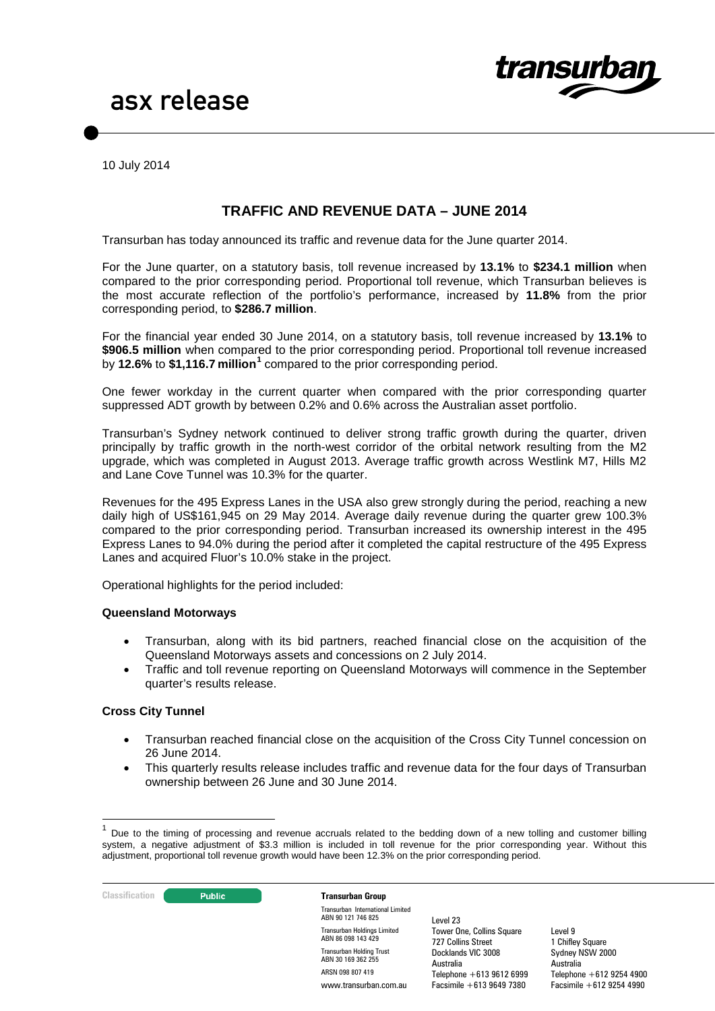

10 July 2014

# **TRAFFIC AND REVENUE DATA – JUNE 2014**

Transurban has today announced its traffic and revenue data for the June quarter 2014.

For the June quarter, on a statutory basis, toll revenue increased by **13.1%** to **\$234.1 million** when compared to the prior corresponding period. Proportional toll revenue, which Transurban believes is the most accurate reflection of the portfolio's performance, increased by **11.8%** from the prior corresponding period, to **\$286.7 million**.

For the financial year ended 30 June 2014, on a statutory basis, toll revenue increased by **13.1%** to **\$906.5 million** when compared to the prior corresponding period. Proportional toll revenue increased by **12.6%** to **\$1,116.7 million[1](#page-0-0)** compared to the prior corresponding period.

One fewer workday in the current quarter when compared with the prior corresponding quarter suppressed ADT growth by between 0.2% and 0.6% across the Australian asset portfolio.

Transurban's Sydney network continued to deliver strong traffic growth during the quarter, driven principally by traffic growth in the north-west corridor of the orbital network resulting from the M2 upgrade, which was completed in August 2013. Average traffic growth across Westlink M7, Hills M2 and Lane Cove Tunnel was 10.3% for the quarter.

Revenues for the 495 Express Lanes in the USA also grew strongly during the period, reaching a new daily high of US\$161,945 on 29 May 2014. Average daily revenue during the quarter grew 100.3% compared to the prior corresponding period. Transurban increased its ownership interest in the 495 Express Lanes to 94.0% during the period after it completed the capital restructure of the 495 Express Lanes and acquired Fluor's 10.0% stake in the project.

Operational highlights for the period included:

#### **Queensland Motorways**

- Transurban, along with its bid partners, reached financial close on the acquisition of the Queensland Motorways assets and concessions on 2 July 2014.
- Traffic and toll revenue reporting on Queensland Motorways will commence in the September quarter's results release.

#### <span id="page-0-1"></span>**Cross City Tunnel**

- Transurban reached financial close on the acquisition of the Cross City Tunnel concession on 26 June 2014.
- This quarterly results release includes traffic and revenue data for the four days of Transurban ownership between 26 June and 30 June 2014.

**Classification Construction Transurban Group** 

Transurban International Limited ABN 90 121 746 825 Transurban Holdings Limited ABN 86 098 143 429 Transurban Holding Trust ABN 30 169 362 255 ARSN 098 807 419 www.transurban.com.au

Level 23 Tower One, Collins Square 727 Collins Street Docklands VIC 3008 Australia Telephone +613 9612 6999 Facsimile +613 9649 7380

<span id="page-0-0"></span>Due to the timing of processing and revenue accruals related to the bedding down of a new tolling and customer billing system, a negative adjustment of \$3.3 million is included in toll revenue for the prior corresponding year. Without this adjustment, proportional toll revenue growth would have been 12.3% on the prior corresponding period.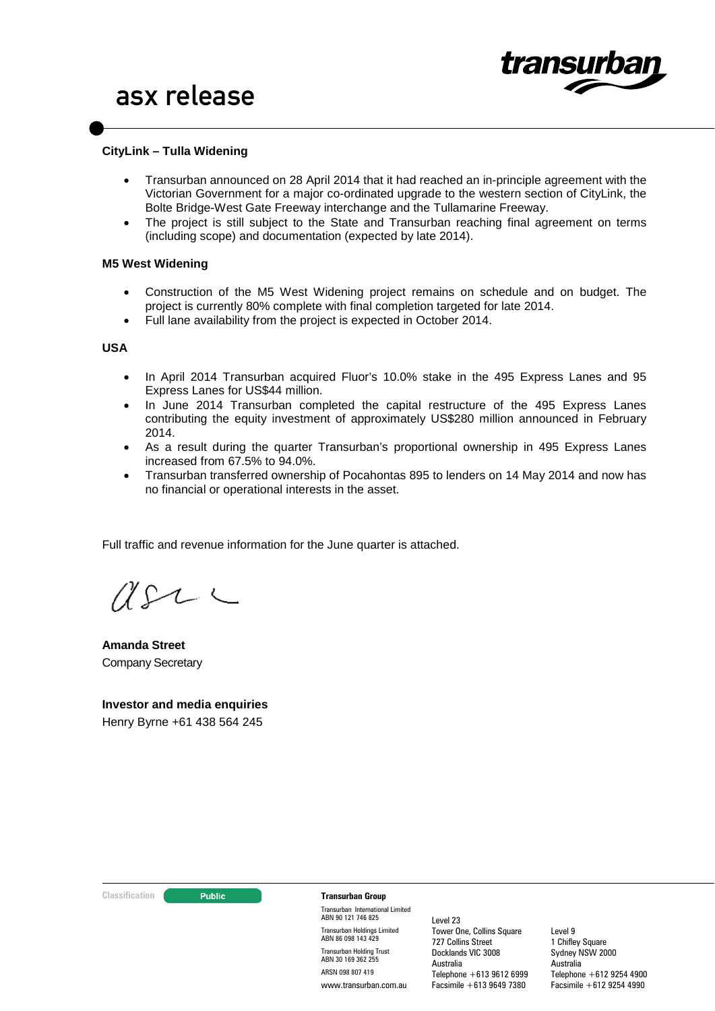

### **CityLink – Tulla Widening**

- Transurban announced on 28 April 2014 that it had reached an in-principle agreement with the Victorian Government for a major co-ordinated upgrade to the western section of CityLink, the Bolte Bridge-West Gate Freeway interchange and the Tullamarine Freeway.
- The project is still subject to the State and Transurban reaching final agreement on terms (including scope) and documentation (expected by late 2014).

#### **M5 West Widening**

- Construction of the M5 West Widening project remains on schedule and on budget. The project is currently 80% complete with final completion targeted for late 2014.
- Full lane availability from the project is expected in October 2014.

#### **USA**

- In April 2014 Transurban acquired Fluor's 10.0% stake in the 495 Express Lanes and 95 Express Lanes for US\$44 million.
- In June 2014 Transurban completed the capital restructure of the 495 Express Lanes contributing the equity investment of approximately US\$280 million announced in February 2014.
- As a result during the quarter Transurban's proportional ownership in 495 Express Lanes increased from 67.5% to 94.0%.
- Transurban transferred ownership of Pocahontas 895 to lenders on 14 May 2014 and now has no financial or operational interests in the asset.

Full traffic and revenue information for the June quarter is attached.

 $U222$ 

**Amanda Street** Company Secretary

**Investor and media enquiries** Henry Byrne +61 438 564 245

#### **Classification Transurban Group**

Transurban International Limited ABN 90 121 746 825 Transurban Holdings Limited ABN 86 098 143 429 Transurban Holding Trust ABN 30 169 362 255 ARSN 098 807 419 www.transurban.com.au

Level 23 Tower One, Collins Square 727 Collins Street Docklands VIC 3008 Australia Telephone +613 9612 6999 Facsimile +613 9649 7380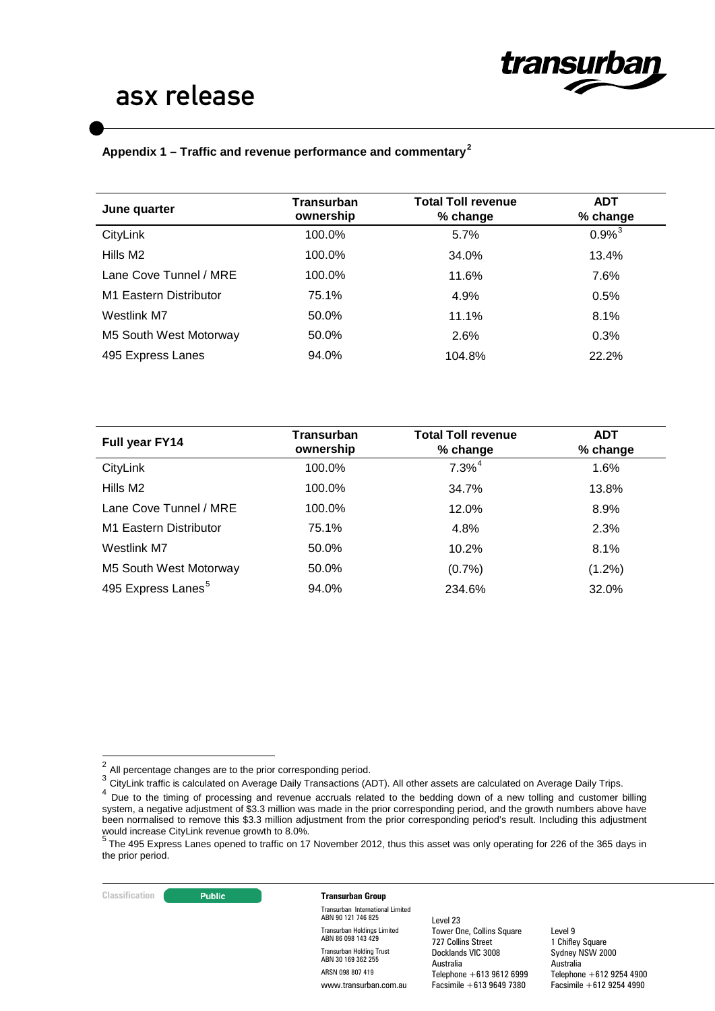

# **Appendix 1 – Traffic and revenue performance and commentary[2](#page-0-1)**

| June quarter           | Transurban<br>ownership | <b>Total Toll revenue</b><br>% change | <b>ADT</b><br>% change |
|------------------------|-------------------------|---------------------------------------|------------------------|
| CityLink               | 100.0%                  | 5.7%                                  | $0.9%^{3}$             |
| Hills M2               | 100.0%                  | 34.0%                                 | 13.4%                  |
| Lane Cove Tunnel / MRE | 100.0%                  | 11.6%                                 | 7.6%                   |
| M1 Eastern Distributor | 75.1%                   | 4.9%                                  | 0.5%                   |
| Westlink M7            | 50.0%                   | 11.1%                                 | 8.1%                   |
| M5 South West Motorway | 50.0%                   | 2.6%                                  | 0.3%                   |
| 495 Express Lanes      | 94.0%                   | 104.8%                                | 22.2%                  |
|                        |                         |                                       |                        |

| Full year FY14                 | Transurban<br>ownership | <b>Total Toll revenue</b><br>% change | <b>ADT</b><br>% change |
|--------------------------------|-------------------------|---------------------------------------|------------------------|
| CityLink                       | 100.0%                  | $7.3\%$ <sup>4</sup>                  | 1.6%                   |
| Hills M2                       | 100.0%                  | 34.7%                                 | 13.8%                  |
| Lane Cove Tunnel / MRE         | 100.0%                  | 12.0%                                 | 8.9%                   |
| M1 Eastern Distributor         | 75.1%                   | 4.8%                                  | 2.3%                   |
| Westlink M7                    | 50.0%                   | 10.2%                                 | 8.1%                   |
| M5 South West Motorway         | 50.0%                   | (0.7%                                 | $(1.2\%)$              |
| 495 Express Lanes <sup>5</sup> | 94.0%                   | 234.6%                                | 32.0%                  |

<span id="page-2-0"></span>3 CityLink traffic is calculated on Average Daily Transactions (ADT). All other assets are calculated on Average Daily Trips.

#### **Classification Transurban Group**

Transurban International Limited ABN 90 121 746 825 Transurban Holdings Limited ABN 86 098 143 429 Transurban Holding Trust ABN 30 169 362 255 ARSN 098 807 419 www.transurban.com.au

Level 23 Tower One, Collins Square 727 Collins Street Docklands VIC 3008 Australia Telephone +613 9612 6999 Facsimile +613 9649 7380

 $2$  All percentage changes are to the prior corresponding period.

<span id="page-2-1"></span> $4$  Due to the timing of processing and revenue accruals related to the bedding down of a new tolling and customer billing system, a negative adjustment of \$3.3 million was made in the prior corresponding period, and the growth numbers above have been normalised to remove this \$3.3 million adjustment from the prior corresponding period's result. Including this adjustment

<span id="page-2-2"></span>would increase CityLink revenue growth to 8.0%.<br><sup>5</sup> The 495 Express Lanes opened to traffic on 17 November 2012, thus this asset was only operating for 226 of the 365 days in the prior period.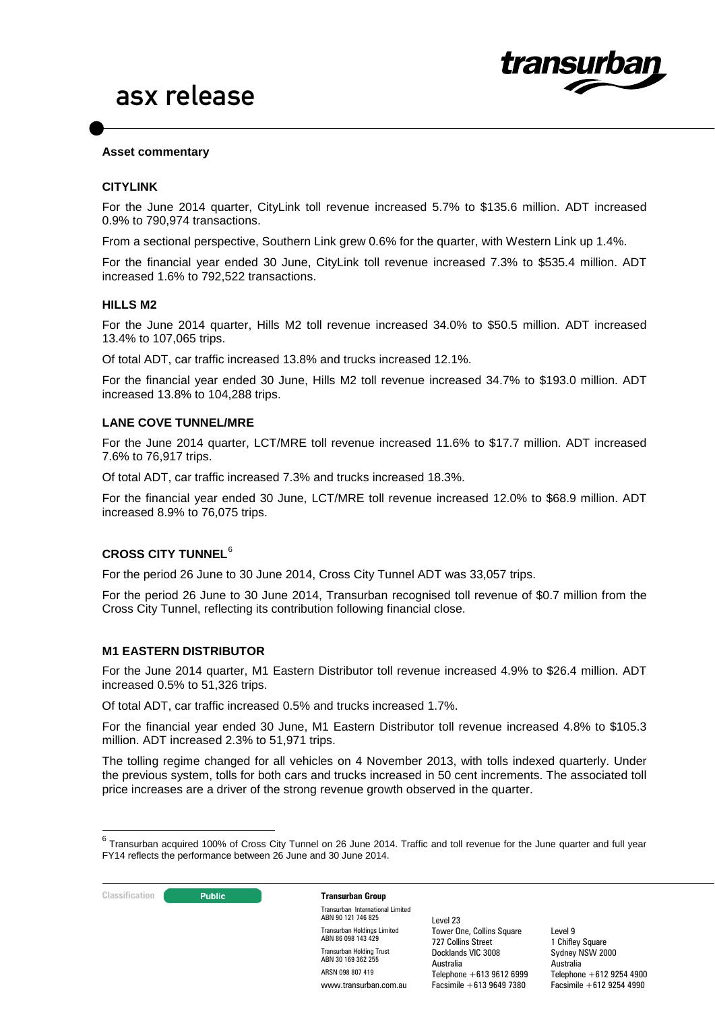

### **Asset commentary**

### **CITYLINK**

For the June 2014 quarter, CityLink toll revenue increased 5.7% to \$135.6 million. ADT increased 0.9% to 790,974 transactions.

From a sectional perspective, Southern Link grew 0.6% for the quarter, with Western Link up 1.4%.

For the financial year ended 30 June, CityLink toll revenue increased 7.3% to \$535.4 million. ADT increased 1.6% to 792,522 transactions.

#### **HILLS M2**

For the June 2014 quarter, Hills M2 toll revenue increased 34.0% to \$50.5 million. ADT increased 13.4% to 107,065 trips.

Of total ADT, car traffic increased 13.8% and trucks increased 12.1%.

For the financial year ended 30 June, Hills M2 toll revenue increased 34.7% to \$193.0 million. ADT increased 13.8% to 104,288 trips.

### **LANE COVE TUNNEL/MRE**

For the June 2014 quarter, LCT/MRE toll revenue increased 11.6% to \$17.7 million. ADT increased 7.6% to 76,917 trips.

Of total ADT, car traffic increased 7.3% and trucks increased 18.3%.

For the financial year ended 30 June, LCT/MRE toll revenue increased 12.0% to \$68.9 million. ADT increased 8.9% to 76,075 trips.

## **CROSS CITY TUNNEL**[6](#page-2-2)

For the period 26 June to 30 June 2014, Cross City Tunnel ADT was 33,057 trips.

For the period 26 June to 30 June 2014, Transurban recognised toll revenue of \$0.7 million from the Cross City Tunnel, reflecting its contribution following financial close.

#### **M1 EASTERN DISTRIBUTOR**

For the June 2014 quarter, M1 Eastern Distributor toll revenue increased 4.9% to \$26.4 million. ADT increased 0.5% to 51,326 trips.

Of total ADT, car traffic increased 0.5% and trucks increased 1.7%.

For the financial year ended 30 June, M1 Eastern Distributor toll revenue increased 4.8% to \$105.3 million. ADT increased 2.3% to 51,971 trips.

The tolling regime changed for all vehicles on 4 November 2013, with tolls indexed quarterly. Under the previous system, tolls for both cars and trucks increased in 50 cent increments. The associated toll price increases are a driver of the strong revenue growth observed in the quarter.

<span id="page-3-0"></span> $6$  Transurban acquired 100% of Cross City Tunnel on 26 June 2014. Traffic and toll revenue for the June quarter and full year FY14 reflects the performance between 26 June and 30 June 2014.



Transurban International Limited ABN 90 121 746 825 Transurban Holdings Limited ABN 86 098 143 429 Transurban Holding Trust ABN 30 169 362 255 ARSN 098 807 419 www.transurban.com.au

Level 23 Tower One, Collins Square 727 Collins Street Docklands VIC 3008 Australia Telephone +613 9612 6999 Facsimile +613 9649 7380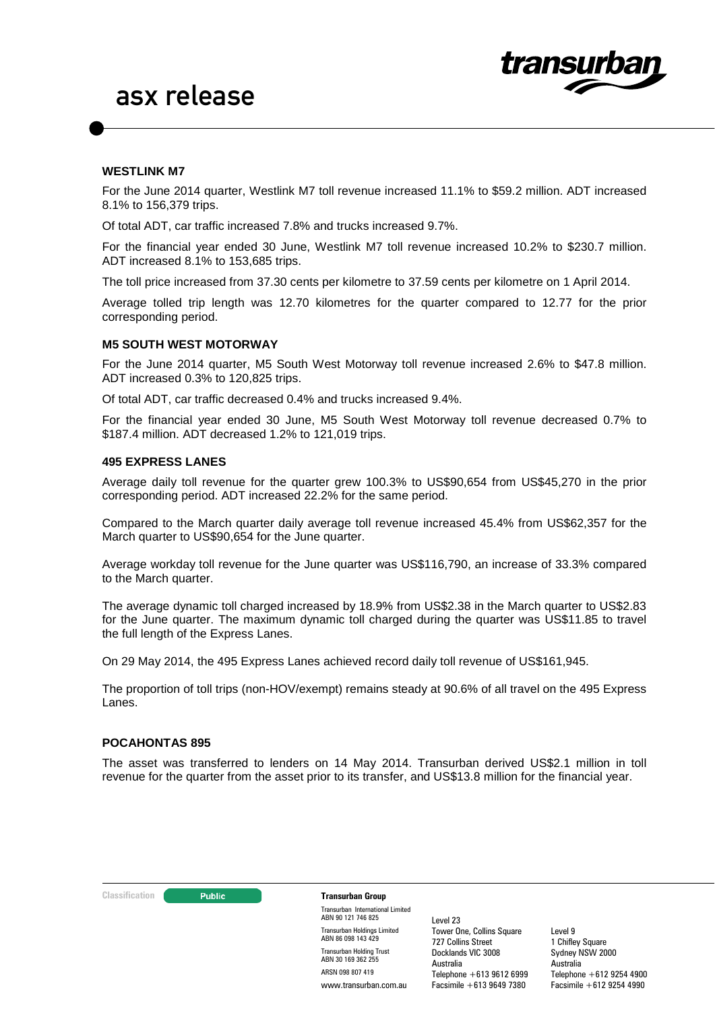

#### **WESTLINK M7**

For the June 2014 quarter, Westlink M7 toll revenue increased 11.1% to \$59.2 million. ADT increased 8.1% to 156,379 trips.

Of total ADT, car traffic increased 7.8% and trucks increased 9.7%.

For the financial year ended 30 June, Westlink M7 toll revenue increased 10.2% to \$230.7 million. ADT increased 8.1% to 153,685 trips.

The toll price increased from 37.30 cents per kilometre to 37.59 cents per kilometre on 1 April 2014.

Average tolled trip length was 12.70 kilometres for the quarter compared to 12.77 for the prior corresponding period.

#### **M5 SOUTH WEST MOTORWAY**

For the June 2014 quarter, M5 South West Motorway toll revenue increased 2.6% to \$47.8 million. ADT increased 0.3% to 120,825 trips.

Of total ADT, car traffic decreased 0.4% and trucks increased 9.4%.

For the financial year ended 30 June, M5 South West Motorway toll revenue decreased 0.7% to \$187.4 million. ADT decreased 1.2% to 121,019 trips.

#### **495 EXPRESS LANES**

Average daily toll revenue for the quarter grew 100.3% to US\$90,654 from US\$45,270 in the prior corresponding period. ADT increased 22.2% for the same period.

Compared to the March quarter daily average toll revenue increased 45.4% from US\$62,357 for the March quarter to US\$90,654 for the June quarter.

Average workday toll revenue for the June quarter was US\$116,790, an increase of 33.3% compared to the March quarter.

The average dynamic toll charged increased by 18.9% from US\$2.38 in the March quarter to US\$2.83 for the June quarter. The maximum dynamic toll charged during the quarter was US\$11.85 to travel the full length of the Express Lanes.

On 29 May 2014, the 495 Express Lanes achieved record daily toll revenue of US\$161,945.

The proportion of toll trips (non-HOV/exempt) remains steady at 90.6% of all travel on the 495 Express Lanes.

#### **POCAHONTAS 895**

The asset was transferred to lenders on 14 May 2014. Transurban derived US\$2.1 million in toll revenue for the quarter from the asset prior to its transfer, and US\$13.8 million for the financial year.

#### **Classification Transurban Group**

Transurban International Limited ABN 90 121 746 825 Transurban Holdings Limited ABN 86 098 143 429 Transurban Holding Trust ABN 30 169 362 255 ARSN 098 807 419 www.transurban.com.au

Level 23 Tower One, Collins Square 727 Collins Street Docklands VIC 3008 Australia Telephone +613 9612 6999 Facsimile +613 9649 7380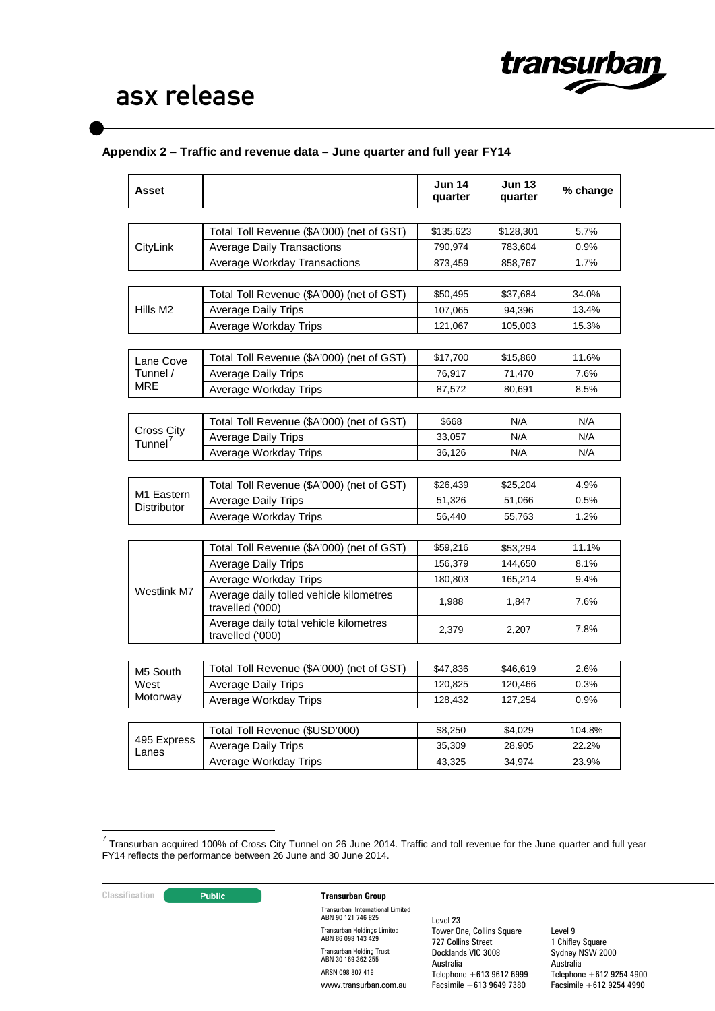

# **Appendix 2 – Traffic and revenue data – June quarter and full year FY14**

| <b>Asset</b>              |                                                             | <b>Jun 14</b><br>quarter | <b>Jun 13</b><br>quarter | % change |
|---------------------------|-------------------------------------------------------------|--------------------------|--------------------------|----------|
|                           |                                                             |                          |                          |          |
|                           | Total Toll Revenue (\$A'000) (net of GST)                   | \$135,623                | \$128,301                | 5.7%     |
| CityLink                  | <b>Average Daily Transactions</b>                           | 790,974                  | 783,604                  | 0.9%     |
|                           | <b>Average Workday Transactions</b>                         | 873,459                  | 858,767                  | 1.7%     |
|                           |                                                             |                          |                          |          |
|                           | Total Toll Revenue (\$A'000) (net of GST)                   | \$50,495                 | \$37,684                 | 34.0%    |
| Hills M <sub>2</sub>      | <b>Average Daily Trips</b>                                  | 107,065                  | 94,396                   | 13.4%    |
|                           | Average Workday Trips                                       | 121,067                  | 105,003                  | 15.3%    |
|                           |                                                             |                          |                          |          |
| Lane Cove                 | Total Toll Revenue (\$A'000) (net of GST)                   | \$17,700                 | \$15,860                 | 11.6%    |
| Tunnel /<br>MRE           | <b>Average Daily Trips</b>                                  | 76,917                   | 71,470                   | 7.6%     |
|                           | Average Workday Trips                                       | 87,572                   | 80,691                   | 8.5%     |
|                           |                                                             |                          |                          |          |
| <b>Cross City</b>         | Total Toll Revenue (\$A'000) (net of GST)                   | \$668                    | N/A                      | N/A      |
| Tunnel <sup>7</sup>       | <b>Average Daily Trips</b>                                  | 33,057                   | N/A                      | N/A      |
|                           | Average Workday Trips                                       | 36,126                   | N/A                      | N/A      |
|                           |                                                             |                          |                          |          |
| M1 Eastern<br>Distributor | Total Toll Revenue (\$A'000) (net of GST)                   | \$26,439                 | \$25,204                 | 4.9%     |
|                           | <b>Average Daily Trips</b>                                  | 51,326                   | 51,066                   | 0.5%     |
|                           | Average Workday Trips                                       | 56,440                   | 55,763                   | 1.2%     |
|                           |                                                             |                          |                          |          |
|                           | Total Toll Revenue (\$A'000) (net of GST)                   | \$59,216                 | \$53,294                 | 11.1%    |
|                           | <b>Average Daily Trips</b>                                  | 156,379                  | 144,650                  | 8.1%     |
|                           | Average Workday Trips                                       | 180,803                  | 165,214                  | 9.4%     |
| Westlink M7               | Average daily tolled vehicle kilometres<br>travelled ('000) | 1,988                    | 1,847                    | 7.6%     |
|                           | Average daily total vehicle kilometres<br>travelled ('000)  | 2,379                    | 2,207                    | 7.8%     |
|                           |                                                             |                          |                          |          |
| M5 South                  | Total Toll Revenue (\$A'000) (net of GST)                   | \$47,836                 | \$46,619                 | 2.6%     |
| West                      | Average Daily Trips                                         | 120,825                  | 120,466                  | 0.3%     |
| Motorway                  | Average Workday Trips                                       | 128,432                  | 127,254                  | 0.9%     |
|                           |                                                             |                          |                          |          |
| 495 Express               | Total Toll Revenue (\$USD'000)                              | \$8,250                  | \$4,029                  | 104.8%   |
| Lanes                     | <b>Average Daily Trips</b>                                  | 35,309                   | 28,905                   | 22.2%    |
|                           | Average Workday Trips                                       | 43,325                   | 34,974                   | 23.9%    |

<span id="page-5-0"></span> <sup>7</sup> Transurban acquired 100% of Cross City Tunnel on 26 June 2014. Traffic and toll revenue for the June quarter and full year FY14 reflects the performance between 26 June and 30 June 2014.

### **Classification Transurban Group**

Transurban International Limited ABN 90 121 746 825 Transurban Holdings Limited ABN 86 098 143 429 Transurban Holding Trust ABN 30 169 362 255 ARSN 098 807 419 www.transurban.com.au

Level 23 Tower One, Collins Square 727 Collins Street Docklands VIC 3008 Australia Telephone +613 9612 6999 Facsimile +613 9649 7380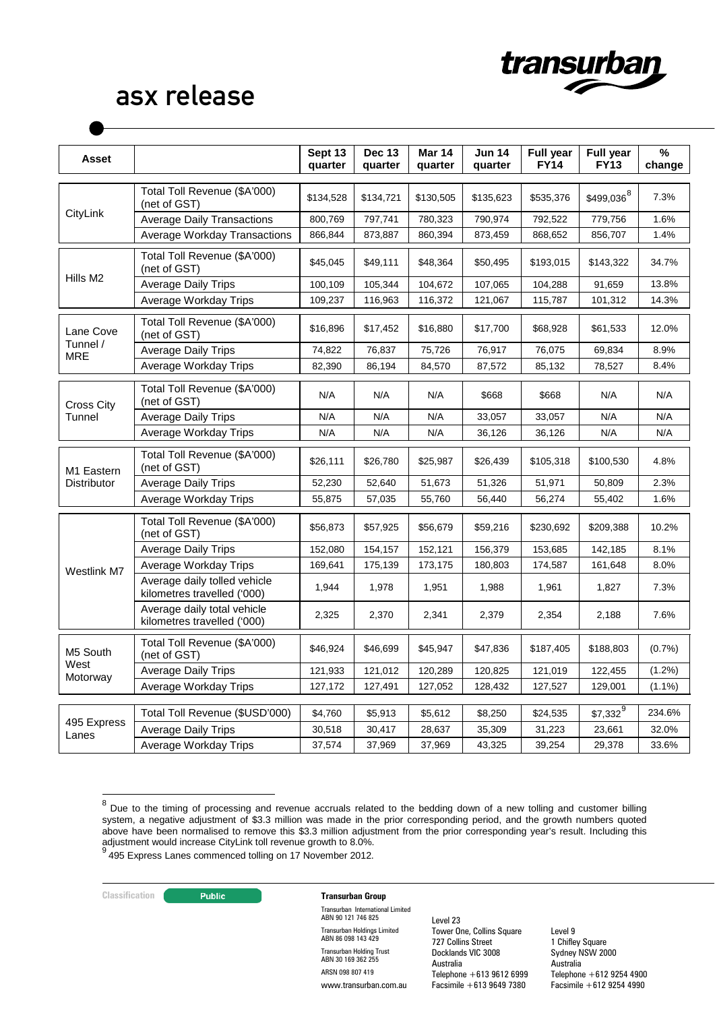

| <b>Asset</b>                          |                                                             | Sept 13<br>quarter | <b>Dec 13</b><br>quarter | <b>Mar 14</b><br>quarter | <b>Jun 14</b><br>quarter | Full year<br><b>FY14</b> | <b>Full year</b><br><b>FY13</b> | %<br>change |
|---------------------------------------|-------------------------------------------------------------|--------------------|--------------------------|--------------------------|--------------------------|--------------------------|---------------------------------|-------------|
|                                       | Total Toll Revenue (\$A'000)<br>(net of GST)                | \$134,528          | \$134,721                | \$130,505                | \$135,623                | \$535,376                | $$499,036^{8}$                  | 7.3%        |
| CityLink                              | <b>Average Daily Transactions</b>                           | 800,769            | 797,741                  | 780,323                  | 790,974                  | 792,522                  | 779,756                         | 1.6%        |
|                                       | Average Workday Transactions                                | 866,844            | 873,887                  | 860,394                  | 873,459                  | 868,652                  | 856,707                         | 1.4%        |
|                                       | Total Toll Revenue (\$A'000)<br>(net of GST)                | \$45,045           | \$49,111                 | \$48,364                 | \$50,495                 | \$193,015                | \$143,322                       | 34.7%       |
| Hills M <sub>2</sub>                  | <b>Average Daily Trips</b>                                  | 100,109            | 105,344                  | 104,672                  | 107,065                  | 104,288                  | 91,659                          | 13.8%       |
|                                       | Average Workday Trips                                       | 109,237            | 116,963                  | 116,372                  | 121,067                  | 115,787                  | 101,312                         | 14.3%       |
| Lane Cove                             | Total Toll Revenue (\$A'000)<br>(net of GST)                | \$16,896           | \$17,452                 | \$16,880                 | \$17,700                 | \$68,928                 | \$61,533                        | 12.0%       |
| Tunnel /<br><b>MRE</b>                | <b>Average Daily Trips</b>                                  | 74,822             | 76,837                   | 75,726                   | 76,917                   | 76,075                   | 69,834                          | 8.9%        |
|                                       | Average Workday Trips                                       | 82,390             | 86,194                   | 84,570                   | 87,572                   | 85,132                   | 78,527                          | 8.4%        |
| <b>Cross City</b>                     | Total Toll Revenue (\$A'000)<br>(net of GST)                | N/A                | N/A                      | N/A                      | \$668                    | \$668                    | N/A                             | N/A         |
| Tunnel                                | <b>Average Daily Trips</b>                                  | N/A                | N/A                      | N/A                      | 33,057                   | 33,057                   | N/A                             | N/A         |
|                                       | Average Workday Trips                                       | N/A                | N/A                      | N/A                      | 36,126                   | 36,126                   | N/A                             | N/A         |
| M <sub>1</sub> Eastern<br>Distributor | Total Toll Revenue (\$A'000)<br>(net of GST)                | \$26,111           | \$26,780                 | \$25,987                 | \$26,439                 | \$105,318                | \$100,530                       | 4.8%        |
|                                       | <b>Average Daily Trips</b>                                  | 52,230             | 52,640                   | 51,673                   | 51,326                   | 51,971                   | 50,809                          | 2.3%        |
|                                       | Average Workday Trips                                       | 55,875             | 57,035                   | 55,760                   | 56,440                   | 56,274                   | 55,402                          | 1.6%        |
|                                       | Total Toll Revenue (\$A'000)<br>(net of GST)                | \$56,873           | \$57,925                 | \$56,679                 | \$59,216                 | \$230,692                | \$209,388                       | 10.2%       |
|                                       | <b>Average Daily Trips</b>                                  | 152,080            | 154,157                  | 152,121                  | 156,379                  | 153,685                  | 142,185                         | 8.1%        |
| Westlink M7                           | Average Workday Trips                                       | 169,641            | 175,139                  | 173,175                  | 180,803                  | 174,587                  | 161,648                         | 8.0%        |
|                                       | Average daily tolled vehicle<br>kilometres travelled ('000) | 1,944              | 1,978                    | 1,951                    | 1,988                    | 1,961                    | 1,827                           | 7.3%        |
|                                       | Average daily total vehicle<br>kilometres travelled ('000)  | 2,325              | 2,370                    | 2,341                    | 2,379                    | 2,354                    | 2,188                           | 7.6%        |
| M5 South                              | Total Toll Revenue (\$A'000)<br>(net of GST)                | \$46,924           | \$46,699                 | \$45,947                 | \$47,836                 | \$187,405                | \$188,803                       | (0.7%       |
| West<br>Motorway                      | <b>Average Daily Trips</b>                                  | 121,933            | 121,012                  | 120,289                  | 120,825                  | 121,019                  | 122,455                         | $(1.2\%)$   |
|                                       | Average Workday Trips                                       | 127,172            | 127,491                  | 127,052                  | 128,432                  | 127,527                  | 129,001                         | $(1.1\%)$   |
|                                       | Total Toll Revenue (\$USD'000)                              | \$4,760            | \$5,913                  | \$5,612                  | \$8,250                  | \$24,535                 | $$7,332^9$                      | 234.6%      |
| 495 Express                           | <b>Average Daily Trips</b>                                  | 30,518             | 30,417                   | 28,637                   | 35,309                   | 31,223                   | 23,661                          | 32.0%       |
| Lanes                                 | Average Workday Trips                                       | 37,574             | 37,969                   | 37,969                   | 43,325                   | 39,254                   | 29,378                          | 33.6%       |

<span id="page-6-1"></span><sup>&</sup>lt;sup>8</sup> Due to the timing of processing and revenue accruals related to the bedding down of a new tolling and customer billing system, a negative adjustment of \$3.3 million was made in the prior corresponding period, and the growth numbers quoted above have been normalised to remove this \$3.3 million adjustment from the prior corresponding year's result. Including this adjustment would increase CityLink toll revenue growth to 8.0%.<br><sup>9</sup> 495 Express Lanes commenced tolling on 17 November 2012.

<span id="page-6-0"></span>

#### **Classification Transurban Group**

Transurban International Limited ABN 90 121 746 825 Transurban Holdings Limited ABN 86 098 143 429 Transurban Holding Trust ABN 30 169 362 255 ARSN 098 807 419 www.transurban.com.au

Level 23 Tower One, Collins Square 727 Collins Street Docklands VIC 3008 Australia Telephone +613 9612 6999 Facsimile +613 9649 7380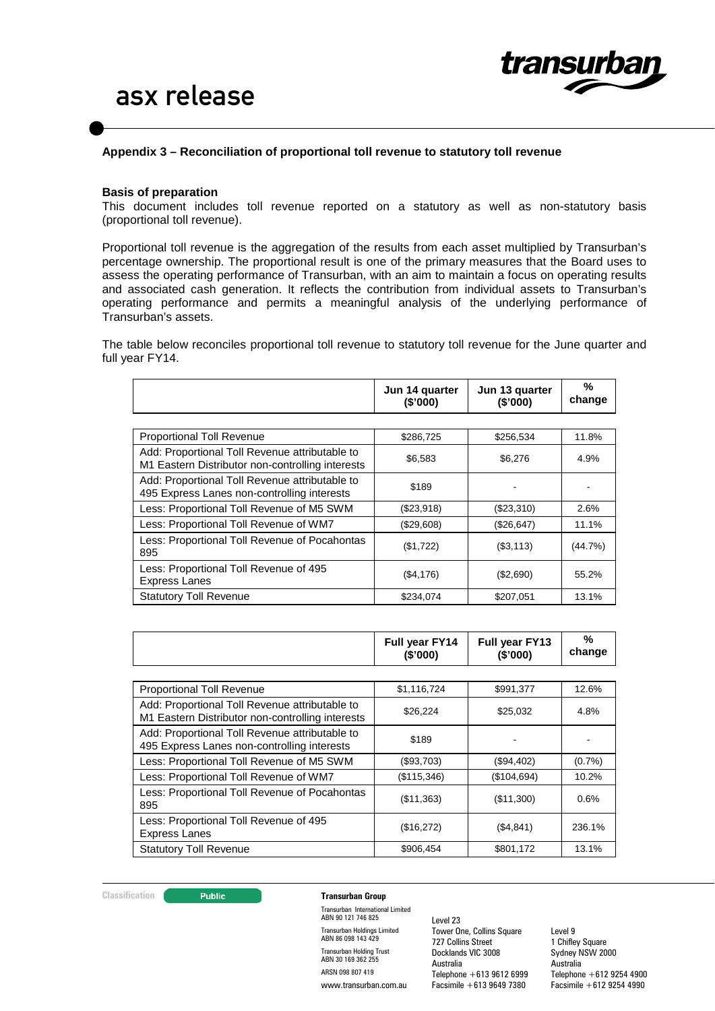

### **Appendix 3 – Reconciliation of proportional toll revenue to statutory toll revenue**

#### **Basis of preparation**

This document includes toll revenue reported on a statutory as well as non-statutory basis (proportional toll revenue).

Proportional toll revenue is the aggregation of the results from each asset multiplied by Transurban's percentage ownership. The proportional result is one of the primary measures that the Board uses to assess the operating performance of Transurban, with an aim to maintain a focus on operating results and associated cash generation. It reflects the contribution from individual assets to Transurban's operating performance and permits a meaningful analysis of the underlying performance of Transurban's assets.

The table below reconciles proportional toll revenue to statutory toll revenue for the June quarter and full year FY14.

|                                                                                                    | Jun 14 quarter<br>(\$'000) | Jun 13 quarter<br>(S'000) | %<br>change |
|----------------------------------------------------------------------------------------------------|----------------------------|---------------------------|-------------|
|                                                                                                    |                            |                           |             |
| <b>Proportional Toll Revenue</b>                                                                   | \$286,725                  | \$256,534                 | 11.8%       |
| Add: Proportional Toll Revenue attributable to<br>M1 Eastern Distributor non-controlling interests | \$6,583                    | \$6,276                   | 4.9%        |
| Add: Proportional Toll Revenue attributable to<br>495 Express Lanes non-controlling interests      | \$189                      |                           |             |
| Less: Proportional Toll Revenue of M5 SWM                                                          | (\$23,918)                 | (\$23,310)                | 2.6%        |
| Less: Proportional Toll Revenue of WM7                                                             | (\$29,608)                 | (\$26,647)                | 11.1%       |
| Less: Proportional Toll Revenue of Pocahontas<br>895                                               | (\$1,722)                  | ( \$3,113)                | (44.7%)     |
| Less: Proportional Toll Revenue of 495<br><b>Express Lanes</b>                                     | ( \$4,176)                 | (\$2,690)                 | 55.2%       |
| <b>Statutory Toll Revenue</b>                                                                      | \$234,074                  | \$207,051                 | 13.1%       |

|                                                                                                    | Full year FY14<br>(\$'000) | <b>Full year FY13</b><br>(\$'000) | %<br>change |
|----------------------------------------------------------------------------------------------------|----------------------------|-----------------------------------|-------------|
|                                                                                                    |                            |                                   |             |
| <b>Proportional Toll Revenue</b>                                                                   | \$1,116,724                | \$991,377                         | 12.6%       |
| Add: Proportional Toll Revenue attributable to<br>M1 Eastern Distributor non-controlling interests | \$26.224                   | \$25,032                          | 4.8%        |
| Add: Proportional Toll Revenue attributable to<br>495 Express Lanes non-controlling interests      | \$189                      |                                   |             |
| Less: Proportional Toll Revenue of M5 SWM                                                          | (\$93,703)                 | (\$94,402)                        | $(0.7\%)$   |
| Less: Proportional Toll Revenue of WM7                                                             | (\$115,346)                | (\$104,694)                       | 10.2%       |
| Less: Proportional Toll Revenue of Pocahontas<br>895                                               | (\$11,363)                 | (\$11,300)                        | 0.6%        |
| Less: Proportional Toll Revenue of 495<br><b>Express Lanes</b>                                     | (\$16,272)                 | (\$4,841)                         | 236.1%      |
| <b>Statutory Toll Revenue</b>                                                                      | \$906,454                  | \$801,172                         | 13.1%       |

#### **Classification CLASSIFICATE:** Public **Transurban Group**

Transurban International Limited ABN 90 121 746 825 Transurban Holdings Limited ABN 86 098 143 429 Transurban Holding Trust ABN 30 169 362 255 ARSN 098 807 419 www.transurban.com.au

Level 23 Tower One, Collins Square 727 Collins Street Docklands VIC 3008 Australia Telephone  $+613,9612,6999$ Facsimile +613 9649 7380